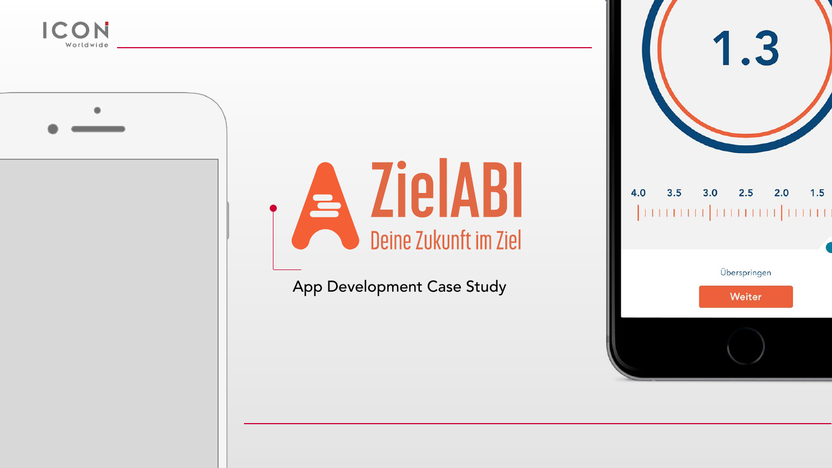



# **A ZielABI**<br>Deine Zukunft im Ziel

App Development Case Study



#### $2.5$  $3.5$  $4.0$  $3.0$



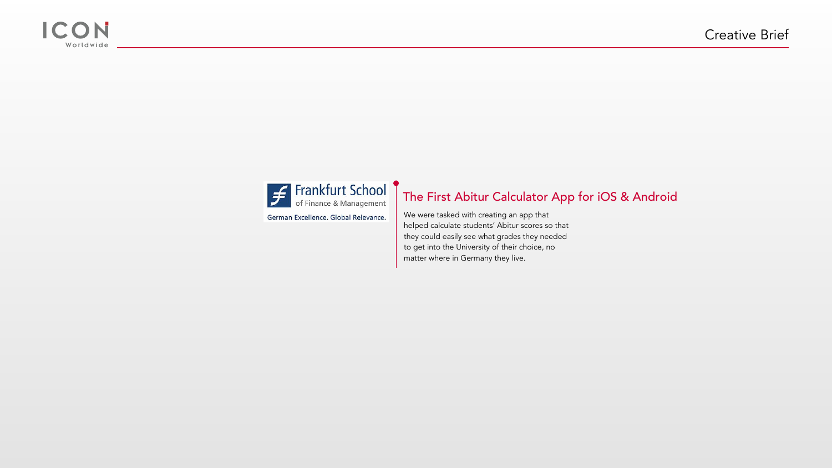



German Excellence. Global Relevance.

We were tasked with creating an app that helped calculate students' Abitur scores so that they could easily see what grades they needed to get into the University of their choice, no matter where in Germany they live.



# The First Abitur Calculator App for iOS & Android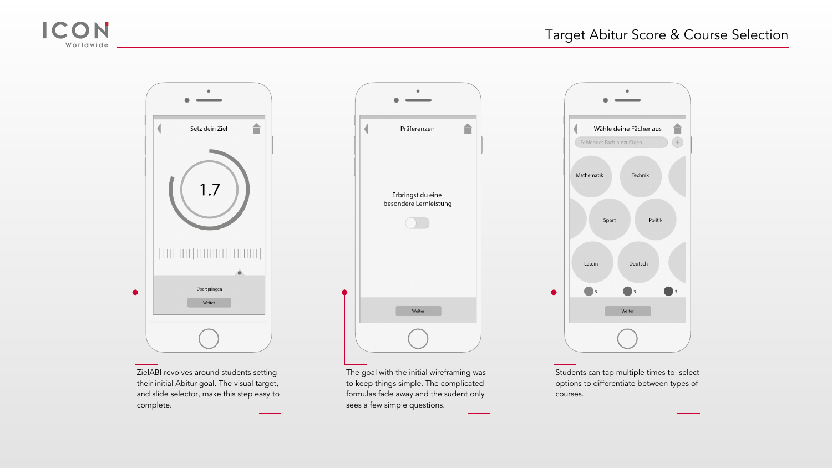Students can tap multiple times to select options to differentiate between types of courses.



The goal with the initial wireframing was to keep things simple. The complicated formulas fade away and the sudent only sees a few simple questions.





ZielABI revolves around students setting their initial Abitur goal. The visual target, and slide selector, make this step easy to complete.

合

 $\bigcirc$  3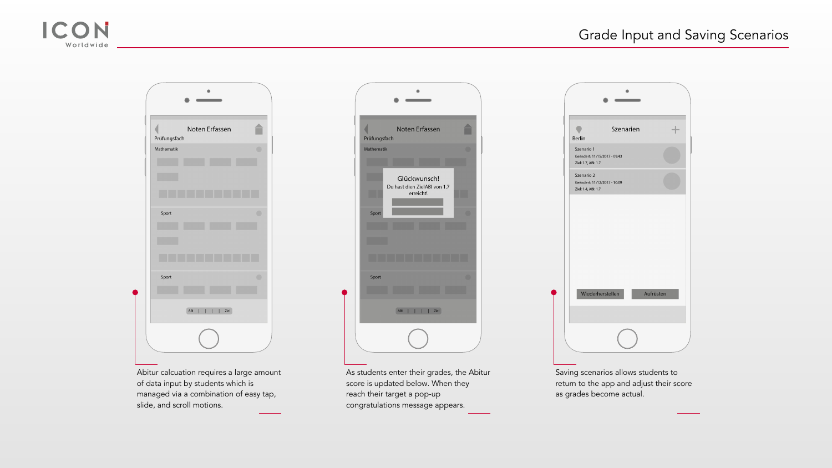Saving scenarios allows students to return to the app and adjust their score as grades become actual.



As students enter their grades, the Abitur score is updated below. When they reach their target a pop-up congratulations message appears.



| Noten Erfassen<br>Prüfungsfach         |                | Prüfung |
|----------------------------------------|----------------|---------|
| Mathematik                             | $\circledcirc$ | Mathema |
| Sport                                  | $\bigcirc$     |         |
| Sport<br>$\mathsf{ABI}\xspace$<br>Ziel | $\circ$        |         |

Abitur calcuation requires a large amount of data input by students which is managed via a combination of easy tap, slide, and scroll motions.



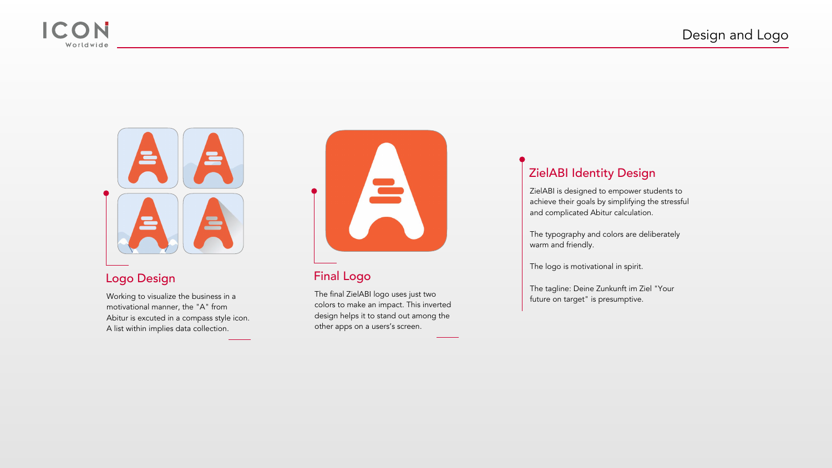ZielABI is designed to empower students to achieve their goals by simplifying the stressful and complicated Abitur calculation.

The typography and colors are deliberately warm and friendly.

The logo is motivational in spirit.

The tagline: Deine Zunkunft im Ziel "Your future on target" is presumptive.



### ZielABI Identity Design

The final ZielABI logo uses just two colors to make an impact. This inverted design helps it to stand out among the other apps on a users's screen.



Working to visualize the business in a motivational manner, the "A" from Abitur is excuted in a compass style icon. A list within implies data collection.





#### Logo Design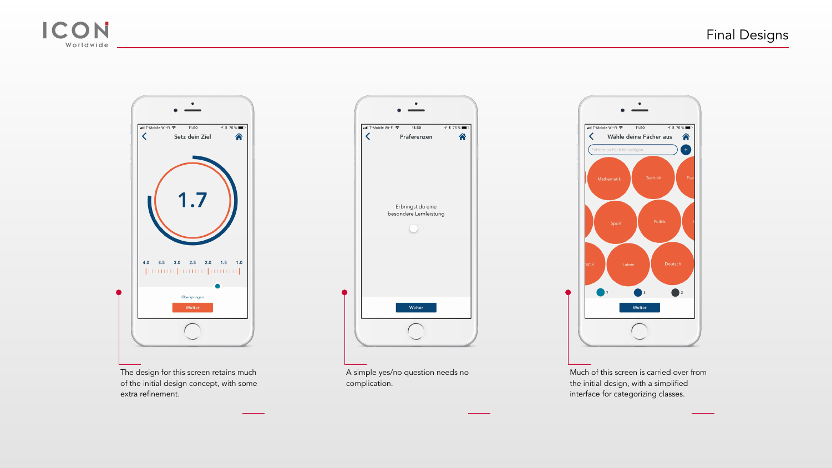Much of this screen is carried over from the initial design, with a simplified interface for categorizing classes.



A simple yes/no question needs no complication.





The design for this screen retains much of the initial design concept, with some extra refinement.

# Final Designs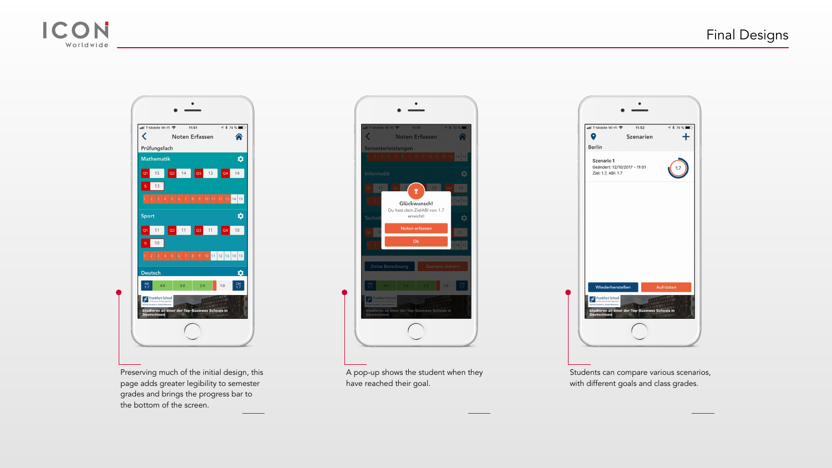Students can compare various scenarios, with different goals and class grades.



A pop-up shows the student when they





have reached their goal.







## Final Designs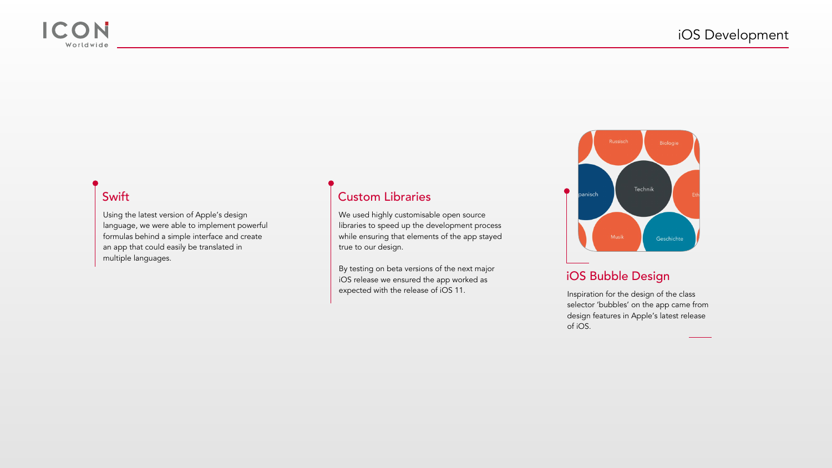Inspiration for the design of the class selector 'bubbles' on the app came from design features in Apple's latest release of iOS.



#### iOS Bubble Design

We used highly customisable open source libraries to speed up the development process while ensuring that elements of the app stayed true to our design.

By testing on beta versions of the next major iOS release we ensured the app worked as expected with the release of iOS 11.

#### Custom Libraries

Using the latest version of Apple's design language, we were able to implement powerful formulas behind a simple interface and create an app that could easily be translated in multiple languages.



#### Swift

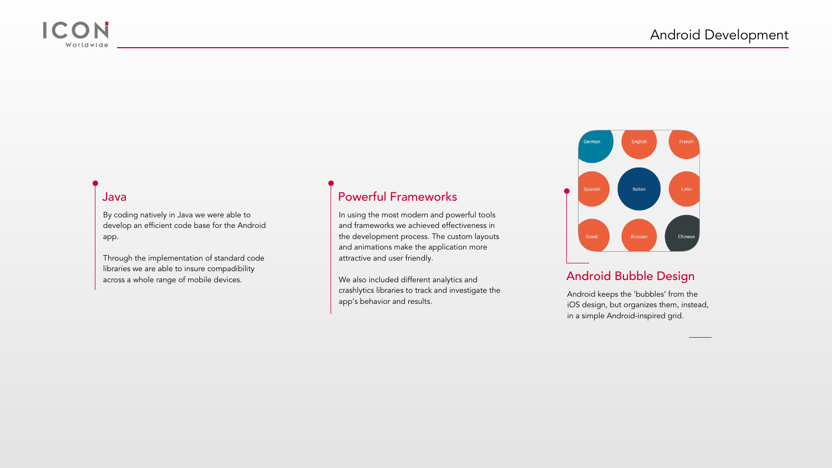Android keeps the 'bubbles' from the iOS design, but organizes them, instead, in a simple Android-inspired grid.



#### Android Bubble Design

In using the most modern and powerful tools and frameworks we achieved effectiveness in the development process. The custom layouts and animations make the application more attractive and user friendly.

We also included different analytics and crashlytics libraries to track and investigate the app's behavior and results.

#### Powerful Frameworks



By coding natively in Java we were able to develop an efficient code base for the Android app.

Through the implementation of standard code libraries we are able to insure compadibility across a whole range of mobile devices.



#### Java